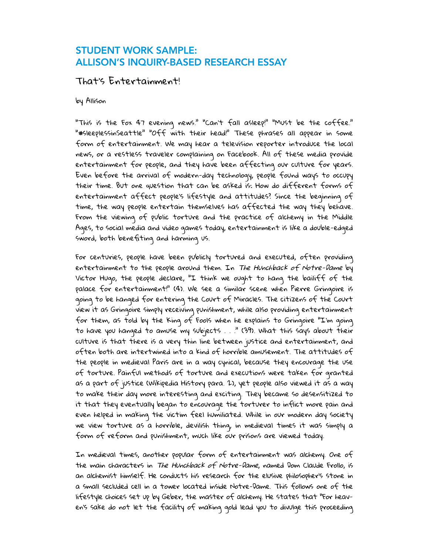## STUDENT WORK SAMPLE: ALLISON'S INQUIRY-BASED RESEARCH ESSAY

## That's Entertainment!

by Allison

"This is the Fox 47 evening news." "Can't fall asleep!" "Must be the coffee." "#sleeplessinSeattle" "Off with their head!" These phrases all appear in some form of entertainment. We may hear a television reporter introduce the local news, or a restless traveler complaining on Facebook. All of these media provide entertainment for people, and they have been affecting our culture for years. Even before the arrival of modern-day technology, people found ways to occupy their time. But one question that can be asked is: How do different forms of entertainment affect people's lifestyle and attitudes? Since the beginning of time, the way people entertain themselves has affected the way they behave. From the viewing of public torture and the practice of alchemy in the Middle Ages, to social media and video games today, entertainment is like a double-edged sword, both benefiting and harming us.

For centuries, people have been publicly tortured and executed, often providing entertainment to the people around them. In *The Hunchback of Notre-Dame* by Victor Hugo, the people declare, "I think we ought to hang the bailiff of the palace for entertainment!" (4). We see a similar scene when Pierre Gringoire is going to be hanged for entering the Court of Miracles. The citizens of the Court view it as Gringoire simply receiving punishment, while also providing entertainment for them, as told by the King of Fools when he explains to Gringoire "I'm going to have you hanged to amuse my subjects . . ." (39). What this says about their culture is that there is a very thin line between justice and entertainment, and often both are intertwined into a kind of horrible amusement. The attitudes of the people in medieval Paris are in a way cynical, because they encourage the use of torture. Painful methods of torture and executions were taken for granted as a part of justice (Wikipedia History para. 2), yet people also viewed it as a way to make their day more interesting and exciting. They became so desensitized to it that they eventually began to encourage the torturer to inflict more pain and even helped in making the victim feel humiliated. While in our modern day society we view torture as a horrible, devilish thing, in medieval times it was simply a form of reform and punishment, much like our prisons are viewed today.

In medieval times, another popular form of entertainment was alchemy. One of the main characters in The Hunchback of Notre-Dame, named Dom Claude Frollo, is an alchemist himself. He conducts his research for the elusive philosopher's stone in a small secluded cell in a tower located inside Notre-Dame. This follows one of the lifestyle choices set up by Geber, the master of alchemy. He states that "For heaven's sake do not let the facility of making gold lead you to divulge this proceeding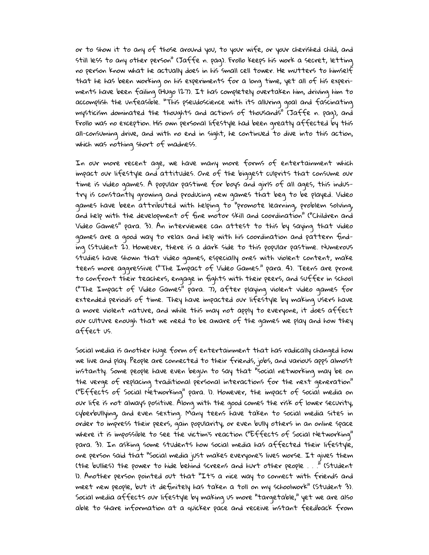or to show it to any of those around you, to your wife, or your cherished child, and still less to any other person" (Jaffe n. pag). Frollo keeps his work a secret, letting no person know what he actually does in his small cell tower. He mutters to himself that he has been working on his experiments for a long time, yet all of his experiments have been failing (Hugo 127). It has completely overtaken him, driving him to accomplish the unfeasible. "This pseudoscience with its alluring goal and fascinating mysticism dominated the thoughts and actions of thousands" (Jaffe n. pag), and Frollo was no exception. His own personal lifestyle had been greatly affected by this all-consuming drive, and with no end in sight, he continued to dive into this action, which was nothing short of madness.

In our more recent age, we have many more forms of entertainment which impact our lifestyle and attitudes. One of the biggest culprits that consume our time is video games. A popular pastime for boys and girls of all ages, this industry is constantly growing and producing new games that beg to be played. Video games have been attributed with helping to "promote learning, problem solving, and help with the development of fine motor skill and coordination" ("Children and Video Games" para. 3). An interviewee can attest to this by saying that video games are a good way to relax and help with his coordination and pattern finding (Student 2). However, there is a dark side to this popular pastime. Numerous studies have shown that video games, especially ones with violent content, make teens more aggressive ("The Impact of Video Games." para. 4). Teens are prone to confront their teachers, engage in fights with their peers, and suffer in school ("The Impact of Video Games" para. 7), after playing violent video games for extended periods of time. They have impacted our lifestyle by making users have a more violent nature, and while this may not apply to everyone, it does affect our culture enough that we need to be aware of the games we play and how they affect us.

Social media is another huge form of entertainment that has radically changed how we live and play. People are connected to their friends, jobs, and various apps almost instantly. Some people have even begun to say that "social networking may be on the verge of replacing traditional personal interactions for the next generation" ("Effects of Social Networking" para. 1). However, the impact of social media on our life is not always positive. Along with the good comes the risk of lower security, cyberbullying, and even sexting. Many teens have taken to social media sites in order to impress their peers, gain popularity, or even bully others in an online space where it is impossible to see the victim's reaction ("Effects of Social Networking" para. 3). In asking some students how social media has affected their lifestyle, one person said that "Social media just makes everyone's lives worse. It gives them (the bullies) the power to hide behind screens and hurt other people . . ." (Student 1). Another person pointed out that "It's a nice way to connect with friends and meet new people, but it definitely has taken a toll on my schoolwork" (Student 3). Social media affects our lifestyle by making us more "targetable," yet we are also able to share information at a quicker pace and receive instant feedback from